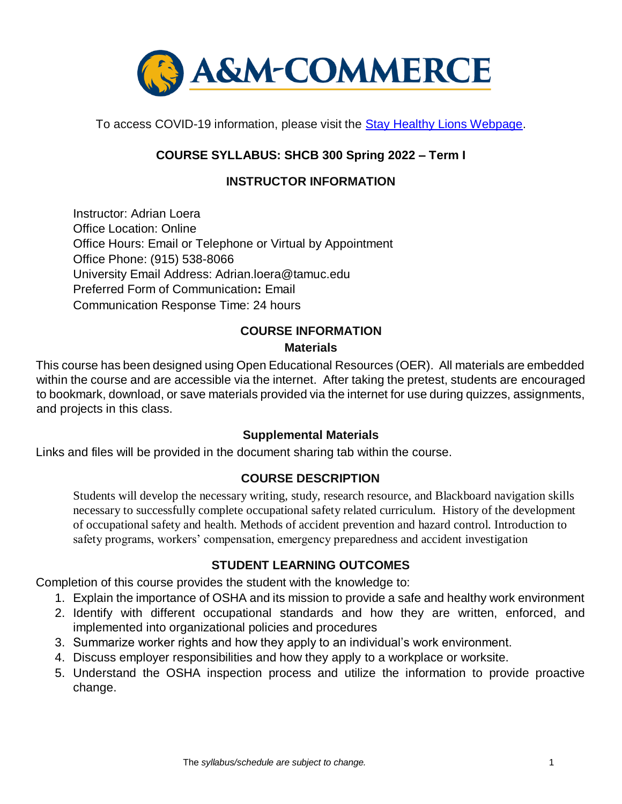

To access COVID-19 information, please visit the [Stay Healthy Lions Webpage.](https://new.tamuc.edu/coronavirus/) 

# **COURSE SYLLABUS: SHCB 300 Spring 2022 – Term I**

# **INSTRUCTOR INFORMATION**

Instructor: Adrian Loera Office Location: Online Office Hours: Email or Telephone or Virtual by Appointment Office Phone: (915) 538-8066 University Email Address: Adrian.loera@tamuc.edu Preferred Form of Communication**:** Email Communication Response Time: 24 hours

# **COURSE INFORMATION**

## **Materials**

This course has been designed using Open Educational Resources (OER). All materials are embedded within the course and are accessible via the internet. After taking the pretest, students are encouraged to bookmark, download, or save materials provided via the internet for use during quizzes, assignments, and projects in this class.

### **Supplemental Materials**

Links and files will be provided in the document sharing tab within the course.

### **[COURSE DESCRIPTION](http://catalog.tamuc.edu/undergrad/colleges-and-departments/college-of-innovation-design/baas-organizational-leadership/?_ga=2.81546143.928332977.1616426723-584154711.1595512675)**

Students will develop the necessary writing, study, research resource, and Blackboard navigation skills necessary to successfully complete occupational safety related curriculum. History of the development of occupational safety and health. Methods of accident prevention and hazard control. Introduction to safety programs, workers' compensation, emergency preparedness and accident investigation

# **STUDENT LEARNING OUTCOMES**

Completion of this course provides the student with the knowledge to:

- 1. Explain the importance of OSHA and its mission to provide a safe and healthy work environment
- 2. Identify with different occupational standards and how they are written, enforced, and implemented into organizational policies and procedures
- 3. Summarize worker rights and how they apply to an individual's work environment.
- 4. Discuss employer responsibilities and how they apply to a workplace or worksite.
- 5. Understand the OSHA inspection process and utilize the information to provide proactive change.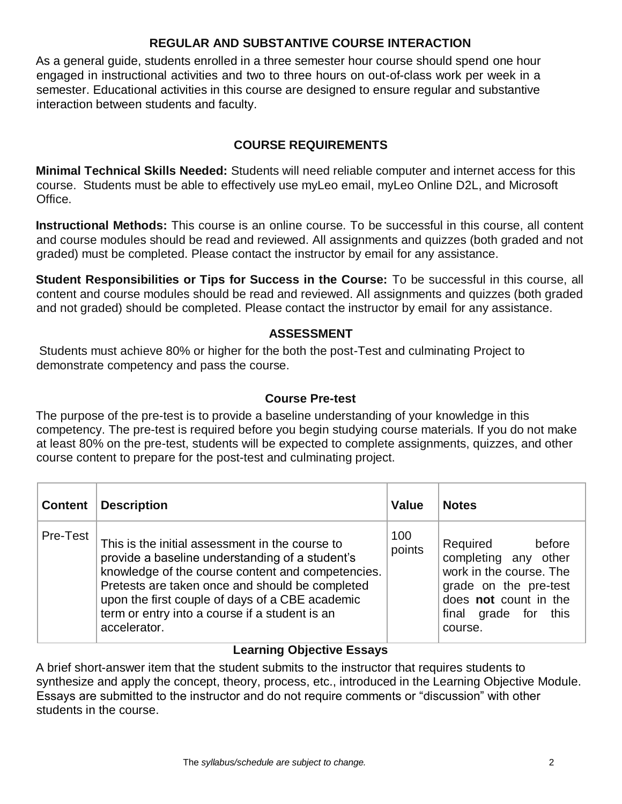# **REGULAR AND SUBSTANTIVE COURSE INTERACTION**

As a general guide, students enrolled in a three semester hour course should spend one hour engaged in instructional activities and two to three hours on out-of-class work per week in a semester. Educational activities in this course are designed to ensure regular and substantive interaction between students and faculty.

# **COURSE REQUIREMENTS**

**Minimal Technical Skills Needed:** Students will need reliable computer and internet access for this course. Students must be able to effectively use myLeo email, myLeo Online D2L, and Microsoft Office.

**Instructional Methods:** This course is an online course. To be successful in this course, all content and course modules should be read and reviewed. All assignments and quizzes (both graded and not graded) must be completed. Please contact the instructor by email for any assistance.

**Student Responsibilities or Tips for Success in the Course:** To be successful in this course, all content and course modules should be read and reviewed. All assignments and quizzes (both graded and not graded) should be completed. Please contact the instructor by email for any assistance.

## **ASSESSMENT**

Students must achieve 80% or higher for the both the post-Test and culminating Project to demonstrate competency and pass the course.

### **Course Pre-test**

The purpose of the pre-test is to provide a baseline understanding of your knowledge in this competency. The pre-test is required before you begin studying course materials. If you do not make at least 80% on the pre-test, students will be expected to complete assignments, quizzes, and other course content to prepare for the post-test and culminating project.

| <b>Content</b> | <b>Description</b>                                                                                                                                                                                                                                                                                                              | <b>Value</b>  | <b>Notes</b>                                                                                                                                               |
|----------------|---------------------------------------------------------------------------------------------------------------------------------------------------------------------------------------------------------------------------------------------------------------------------------------------------------------------------------|---------------|------------------------------------------------------------------------------------------------------------------------------------------------------------|
| Pre-Test       | This is the initial assessment in the course to<br>provide a baseline understanding of a student's<br>knowledge of the course content and competencies.<br>Pretests are taken once and should be completed<br>upon the first couple of days of a CBE academic<br>term or entry into a course if a student is an<br>accelerator. | 100<br>points | before<br>Required<br>completing any other<br>work in the course. The<br>grade on the pre-test<br>does not count in the<br>final grade for this<br>course. |

# **Learning Objective Essays**

A brief short-answer item that the student submits to the instructor that requires students to synthesize and apply the concept, theory, process, etc., introduced in the Learning Objective Module. Essays are submitted to the instructor and do not require comments or "discussion" with other students in the course.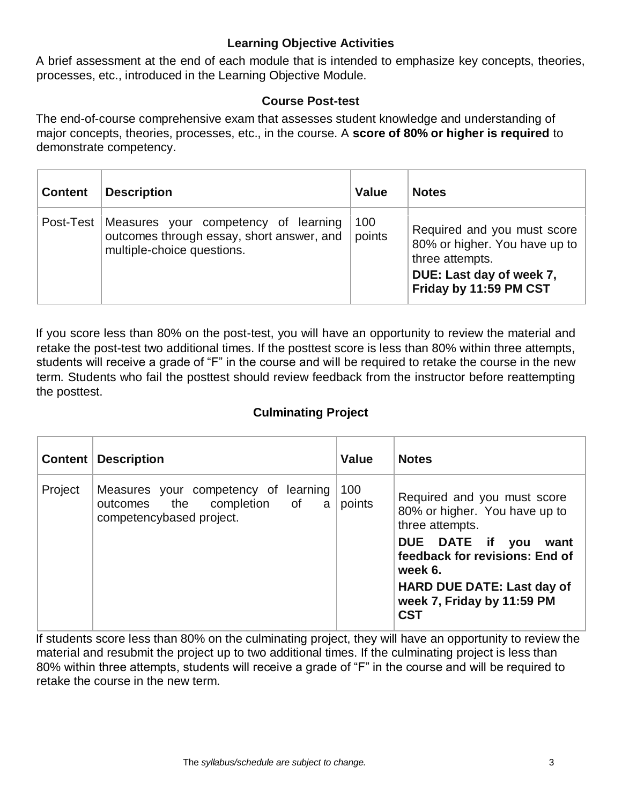# **Learning Objective Activities**

A brief assessment at the end of each module that is intended to emphasize key concepts, theories, processes, etc., introduced in the Learning Objective Module.

### **Course Post-test**

The end-of-course comprehensive exam that assesses student knowledge and understanding of major concepts, theories, processes, etc., in the course. A **score of 80% or higher is required** to demonstrate competency.

| <b>Content</b> | <b>Description</b>                                                                                              | <b>Value</b>  | <b>Notes</b>                                                                                                                          |
|----------------|-----------------------------------------------------------------------------------------------------------------|---------------|---------------------------------------------------------------------------------------------------------------------------------------|
| Post-Test      | Measures your competency of learning<br>outcomes through essay, short answer, and<br>multiple-choice questions. | 100<br>points | Required and you must score<br>80% or higher. You have up to<br>three attempts.<br>DUE: Last day of week 7,<br>Friday by 11:59 PM CST |

If you score less than 80% on the post-test, you will have an opportunity to review the material and retake the post-test two additional times. If the posttest score is less than 80% within three attempts, students will receive a grade of "F" in the course and will be required to retake the course in the new term. Students who fail the posttest should review feedback from the instructor before reattempting the posttest.

# **Culminating Project**

|         | <b>Content   Description</b>                                                                     | Value         | <b>Notes</b>                                                                                                                                                                                                                      |
|---------|--------------------------------------------------------------------------------------------------|---------------|-----------------------------------------------------------------------------------------------------------------------------------------------------------------------------------------------------------------------------------|
| Project | Measures your competency of learning<br>outcomes the completion of a<br>competencybased project. | 100<br>points | Required and you must score<br>80% or higher. You have up to<br>three attempts.<br>DUE DATE if you<br>want<br>feedback for revisions: End of<br>week 6.<br>HARD DUE DATE: Last day of<br>week 7, Friday by 11:59 PM<br><b>CST</b> |

If students score less than 80% on the culminating project, they will have an opportunity to review the material and resubmit the project up to two additional times. If the culminating project is less than 80% within three attempts, students will receive a grade of "F" in the course and will be required to retake the course in the new term.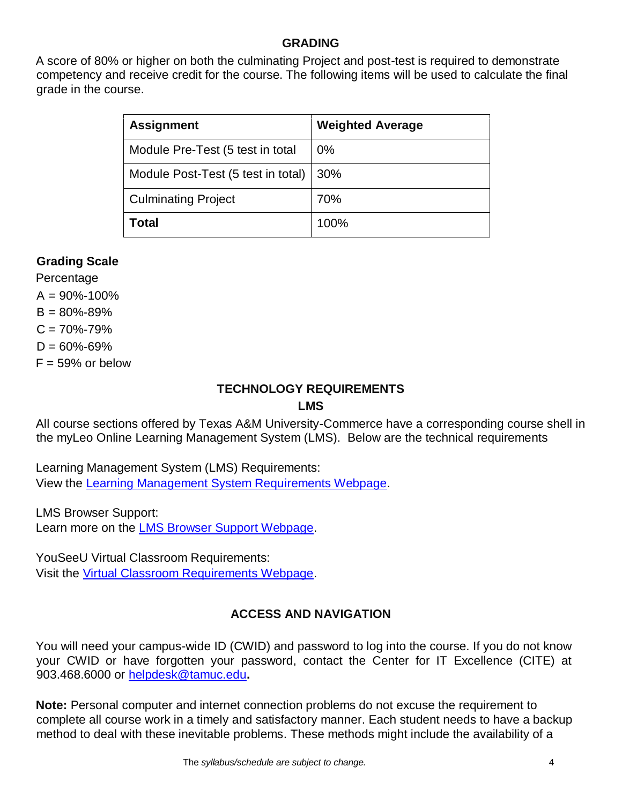### **GRADING**

A score of 80% or higher on both the culminating Project and post-test is required to demonstrate competency and receive credit for the course. The following items will be used to calculate the final grade in the course.

| <b>Assignment</b>                  | <b>Weighted Average</b> |
|------------------------------------|-------------------------|
| Module Pre-Test (5 test in total   | 0%                      |
| Module Post-Test (5 test in total) | 30%                     |
| <b>Culminating Project</b>         | 70%                     |
| Total                              | 100%                    |

# **Grading Scale**

Percentage  $A = 90\% - 100\%$  $B = 80\% - 89\%$  $C = 70\% - 79\%$  $D = 60\% - 69\%$  $F = 59\%$  or below

#### **TECHNOLOGY REQUIREMENTS LMS**

All course sections offered by Texas A&M University-Commerce have a corresponding course shell in the myLeo Online Learning Management System (LMS). Below are the technical requirements

Learning Management System (LMS) Requirements: View the [Learning Management System Requirements Webpage.](https://community.brightspace.com/s/article/Brightspace-Platform-Requirements) 

LMS Browser Support: Learn more on the [LMS Browser Support Webpage.](https://documentation.brightspace.com/EN/brightspace/requirements/all/browser_support.htm) 

YouSeeU Virtual Classroom Requirements: Visit the [Virtual Classroom Requirements Webpage.](https://support.youseeu.com/hc/en-us/articles/115007031107-Basic-System-Requirements) 

# **ACCESS AND NAVIGATION**

You will need your campus-wide ID (CWID) and password to log into the course. If you do not know your CWID or have forgotten your password, contact the Center for IT Excellence (CITE) at 903.468.6000 or helpdesk@tamuc.edu**.** 

**Note:** Personal computer and internet connection problems do not excuse the requirement to complete all course work in a timely and satisfactory manner. Each student needs to have a backup method to deal with these inevitable problems. These methods might include the availability of a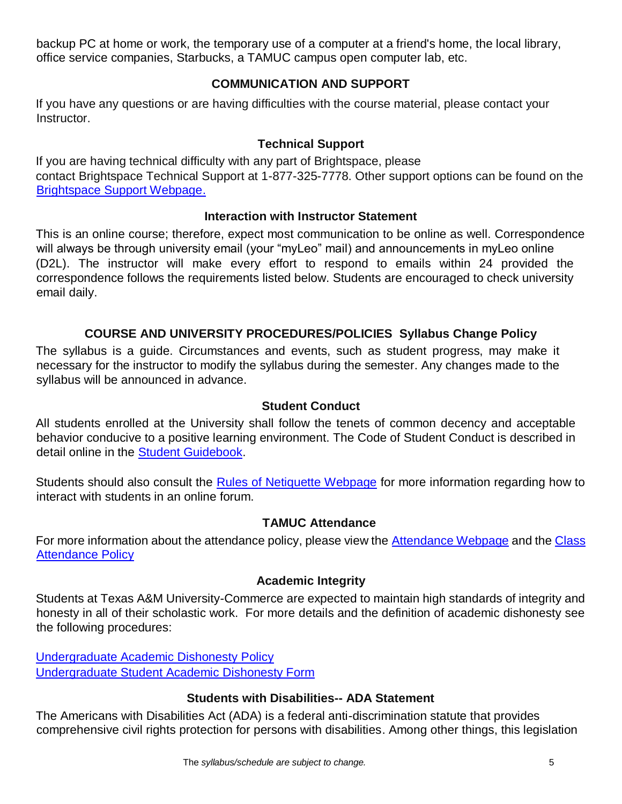backup PC at home or work, the temporary use of a computer at a friend's home, the local library, office service companies, Starbucks, a TAMUC campus open computer lab, etc.

# **COMMUNICATION AND SUPPORT**

If you have any questions or are having difficulties with the course material, please contact your Instructor.

## **Technical Support**

If you are having technical difficulty with any part of Brightspace, please contact Brightspace Technical Support at 1-877-325-7778. Other support options can be found on the [Brightspace Support Webpage.](https://community.brightspace.com/support/s/contactsupport)

### **Interaction with Instructor Statement**

This is an online course; therefore, expect most communication to be online as well. Correspondence will always be through university email (your "myLeo" mail) and announcements in myLeo online (D2L). The instructor will make every effort to respond to emails within 24 provided the correspondence follows the requirements listed below. Students are encouraged to check university email daily.

# **COURSE AND UNIVERSITY PROCEDURES/POLICIES Syllabus Change Policy**

The syllabus is a guide. Circumstances and events, such as student progress, may make it necessary for the instructor to modify the syllabus during the semester. Any changes made to the syllabus will be announced in advance.

### **Student Conduct**

All students enrolled at the University shall follow the tenets of common decency and acceptable behavior conducive to a positive learning environment. The Code of Student Conduct is described in detail online in the [Student Guidebook.](http://www.tamuc.edu/Admissions/oneStopShop/undergraduateAdmissions/studentGuidebook.aspx)

Students should also consult the [Rules of Netiquette Webpage](https://www.britannica.com/topic/netiquette) [f](https://www.britannica.com/topic/netiquette)or more information regarding how to interact with students in an online forum.

### **TAMUC Attendance**

For more information about the attendance policy, please view the [Attendance](http://www.tamuc.edu/admissions/registrar/generalInformation/attendance.aspx) [Webpage](http://www.tamuc.edu/admissions/registrar/generalInformation/attendance.aspx) [a](http://www.tamuc.edu/admissions/registrar/generalInformation/attendance.aspx)nd the [Class](http://www.tamuc.edu/aboutUs/policiesProceduresStandardsStatements/rulesProcedures/13students/academic/13.99.99.R0.01.pdf)  [Attendance Policy](http://www.tamuc.edu/aboutUs/policiesProceduresStandardsStatements/rulesProcedures/13students/academic/13.99.99.R0.01.pdf)

### **Academic Integrity**

Students at Texas A&M University-Commerce are expected to maintain high standards of integrity and honesty in all of their scholastic work. For more details and the definition of academic dishonesty see the following procedures:

[Undergraduate Academic Dishonesty Po](http://www.tamuc.edu/aboutUs/policiesProceduresStandardsStatements/rulesProcedures/13students/undergraduates/13.99.99.R0.03UndergraduateAcademicDishonesty.pdf)licy [Undergraduate Student Academic Dishonesty Form](http://www.tamuc.edu/aboutUs/policiesProceduresStandardsStatements/rulesProcedures/documents/13.99.99.R0.03UndergraduateStudentAcademicDishonestyForm.pdf)

### **Students with Disabilities-- ADA Statement**

The Americans with Disabilities Act (ADA) is a federal anti-discrimination statute that provides comprehensive civil rights protection for persons with disabilities. Among other things, this legislation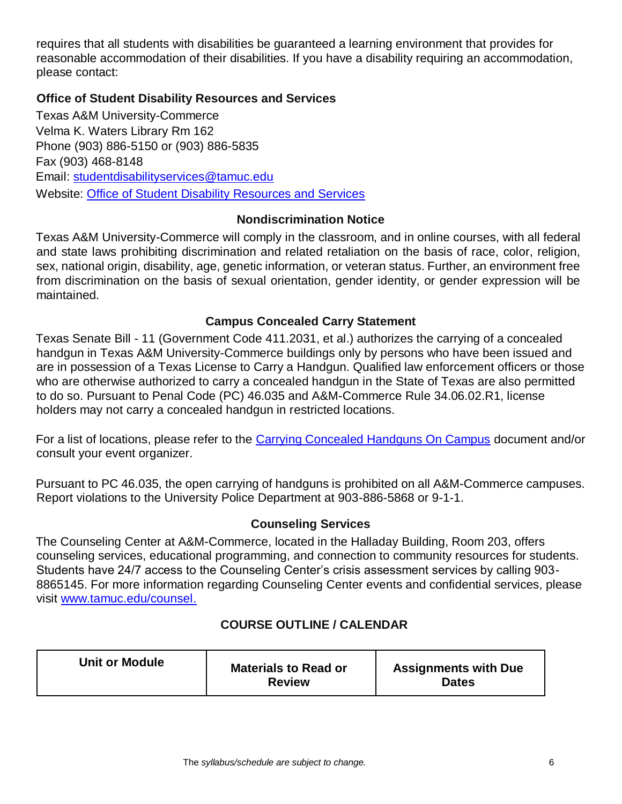requires that all students with disabilities be guaranteed a learning environment that provides for reasonable accommodation of their disabilities. If you have a disability requiring an accommodation, please contact:

### **Office of Student Disability Resources and Services**

Texas A&M University-Commerce Velma K. Waters Library Rm 162 Phone (903) 886-5150 or (903) 886-5835 Fax (903) 468-8148 Email: studentdisabilityservices@tamuc.edu Website: [Office of Student Disability Resources and Services](http://www.tamuc.edu/campusLife/campusServices/studentDisabilityResourcesAndServices/)

## **Nondiscrimination Notice**

Texas A&M University-Commerce will comply in the classroom, and in online courses, with all federal and state laws prohibiting discrimination and related retaliation on the basis of race, color, religion, sex, national origin, disability, age, genetic information, or veteran status. Further, an environment free from discrimination on the basis of sexual orientation, gender identity, or gender expression will be maintained.

## **Campus Concealed Carry Statement**

Texas Senate Bill - 11 (Government Code 411.2031, et al.) authorizes the carrying of a concealed handgun in Texas A&M University-Commerce buildings only by persons who have been issued and are in possession of a Texas License to Carry a Handgun. Qualified law enforcement officers or those who are otherwise authorized to carry a concealed handgun in the State of Texas are also permitted to do so. Pursuant to Penal Code (PC) 46.035 and A&M-Commerce Rule 34.06.02.R1, license holders may not carry a concealed handgun in restricted locations.

For a list of locations, please refer to the [Carrying Concealed Handguns On Campus](http://www.tamuc.edu/aboutUs/policiesProceduresStandardsStatements/rulesProcedures/34SafetyOfEmployeesAndStudents/34.06.02.R1.pdf) [d](http://www.tamuc.edu/aboutUs/policiesProceduresStandardsStatements/rulesProcedures/34SafetyOfEmployeesAndStudents/34.06.02.R1.pdf)ocument and/or consult your event organizer.

Pursuant to PC 46.035, the open carrying of handguns is prohibited on all A&M-Commerce campuses. Report violations to the University Police Department at 903-886-5868 or 9-1-1.

### **Counseling Services**

The Counseling Center at A&M-Commerce, located in the Halladay Building, Room 203, offers counseling services, educational programming, and connection to community resources for students. Students have 24/7 access to the Counseling Center's crisis assessment services by calling 903- 8865145. For more information regarding Counseling Center events and confidential services, please visit [www.tamuc.edu/counsel.](http://www.tamuc.edu/counsel)

# **COURSE OUTLINE / CALENDAR**

| <b>Unit or Module</b> | <b>Materials to Read or</b><br><b>Review</b> | <b>Assignments with Due</b><br><b>Dates</b> |
|-----------------------|----------------------------------------------|---------------------------------------------|
|-----------------------|----------------------------------------------|---------------------------------------------|